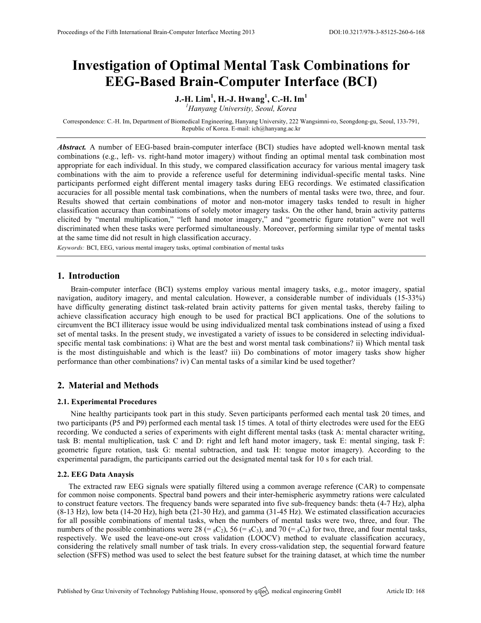# **Investigation of Optimal Mental Task Combinations for EEG-Based Brain-Computer Interface (BCI)**

## **J.-H. Lim<sup>1</sup> , H.-J. Hwang<sup>1</sup> , C.-H. Im<sup>1</sup>**

*1 Hanyang University, Seoul, Korea*

Correspondence: C.-H. Im, Department of Biomedical Engineering, Hanyang University, 222 Wangsimni-ro, Seongdong-gu, Seoul, 133-791, Republic of Korea. E-mail: ich@hanyang.ac.kr

*Abstract.* A number of EEG-based brain-computer interface (BCI) studies have adopted well-known mental task combinations (e.g., left- vs. right-hand motor imagery) without finding an optimal mental task combination most appropriate for each individual. In this study, we compared classification accuracy for various mental imagery task combinations with the aim to provide a reference useful for determining individual-specific mental tasks. Nine participants performed eight different mental imagery tasks during EEG recordings. We estimated classification accuracies for all possible mental task combinations, when the numbers of mental tasks were two, three, and four. Results showed that certain combinations of motor and non-motor imagery tasks tended to result in higher classification accuracy than combinations of solely motor imagery tasks. On the other hand, brain activity patterns elicited by "mental multiplication," "left hand motor imagery," and "geometric figure rotation" were not well discriminated when these tasks were performed simultaneously. Moreover, performing similar type of mental tasks at the same time did not result in high classification accuracy.

*Keywords:* BCI, EEG, various mental imagery tasks, optimal combination of mental tasks

#### **1. Introduction**

Brain-computer interface (BCI) systems employ various mental imagery tasks, e.g., motor imagery, spatial navigation, auditory imagery, and mental calculation. However, a considerable number of individuals (15-33%) have difficulty generating distinct task-related brain activity patterns for given mental tasks, thereby failing to achieve classification accuracy high enough to be used for practical BCI applications. One of the solutions to circumvent the BCI illiteracy issue would be using individualized mental task combinations instead of using a fixed set of mental tasks. In the present study, we investigated a variety of issues to be considered in selecting individualspecific mental task combinations: i) What are the best and worst mental task combinations? ii) Which mental task is the most distinguishable and which is the least? iii) Do combinations of motor imagery tasks show higher performance than other combinations? iv) Can mental tasks of a similar kind be used together?

#### **2. Material and Methods**

#### **2.1. Experimental Procedures**

Nine healthy participants took part in this study. Seven participants performed each mental task 20 times, and two participants (P5 and P9) performed each mental task 15 times. A total of thirty electrodes were used for the EEG recording. We conducted a series of experiments with eight different mental tasks (task A: mental character writing, task B: mental multiplication, task C and D: right and left hand motor imagery, task E: mental singing, task F: geometric figure rotation, task G: mental subtraction, and task H: tongue motor imagery). According to the experimental paradigm, the participants carried out the designated mental task for 10 s for each trial.

#### **2.2. EEG Data Anaysis**

The extracted raw EEG signals were spatially filtered using a common average reference (CAR) to compensate for common noise components. Spectral band powers and their inter-hemispheric asymmetry rations were calculated to construct feature vectors. The frequency bands were separated into five sub-frequency bands: theta (4-7 Hz), alpha (8-13 Hz), low beta (14-20 Hz), high beta (21-30 Hz), and gamma (31-45 Hz). We estimated classification accuracies for all possible combinations of mental tasks, when the numbers of mental tasks were two, three, and four. The numbers of the possible combinations were 28 (=  $_8C_2$ ), 56 (=  $_8C_3$ ), and 70 (=  $_8C_4$ ) for two, three, and four mental tasks, respectively. We used the leave-one-out cross validation (LOOCV) method to evaluate classification accuracy, considering the relatively small number of task trials. In every cross-validation step, the sequential forward feature selection (SFFS) method was used to select the best feature subset for the training dataset, at which time the number